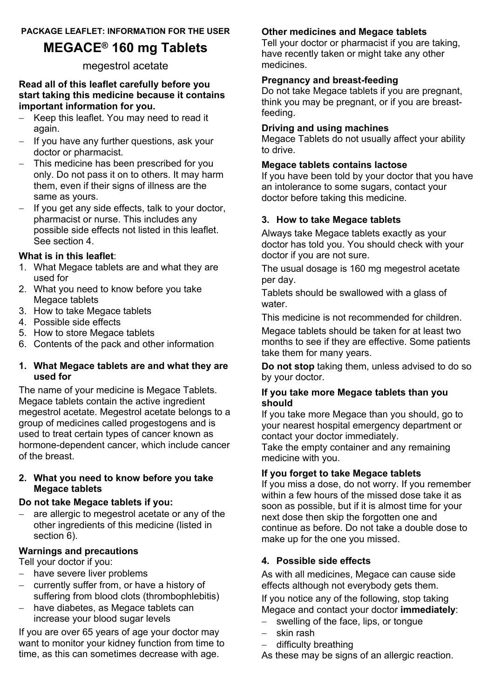# **MEGACE® 160 mg Tablets**

# megestrol acetate

#### **Read all of this leaflet carefully before you start taking this medicine because it contains important information for you.**

- Keep this leaflet. You may need to read it again.
- If you have any further questions, ask your doctor or pharmacist.
- This medicine has been prescribed for you only. Do not pass it on to others. It may harm them, even if their signs of illness are the same as yours.
- If you get any side effects, talk to your doctor, pharmacist or nurse. This includes any possible side effects not listed in this leaflet. See section 4.

### **What is in this leaflet**:

- 1. What Megace tablets are and what they are used for
- 2. What you need to know before you take Megace tablets
- 3. How to take Megace tablets
- 4. Possible side effects
- 5. How to store Megace tablets
- 6. Contents of the pack and other information

#### **1. What Megace tablets are and what they are used for**

The name of your medicine is Megace Tablets. Megace tablets contain the active ingredient megestrol acetate. Megestrol acetate belongs to a group of medicines called progestogens and is used to treat certain types of cancer known as hormone-dependent cancer, which include cancer of the breast.

#### **2. What you need to know before you take Megace tablets**

### **Do not take Megace tablets if you:**

 are allergic to megestrol acetate or any of the other ingredients of this medicine (listed in section 6).

### **Warnings and precautions**

Tell your doctor if you:

- have severe liver problems
- currently suffer from, or have a history of suffering from blood clots (thrombophlebitis)
- have diabetes, as Megace tablets can increase your blood sugar levels

If you are over 65 years of age your doctor may want to monitor your kidney function from time to time, as this can sometimes decrease with age.

# **Other medicines and Megace tablets**

Tell your doctor or pharmacist if you are taking, have recently taken or might take any other medicines.

# **Pregnancy and breast-feeding**

Do not take Megace tablets if you are pregnant, think you may be pregnant, or if you are breastfeeding.

# **Driving and using machines**

Megace Tablets do not usually affect your ability to drive.

# **Megace tablets contains lactose**

If you have been told by your doctor that you have an intolerance to some sugars, contact your doctor before taking this medicine.

# **3. How to take Megace tablets**

Always take Megace tablets exactly as your doctor has told you. You should check with your doctor if you are not sure.

The usual dosage is 160 mg megestrol acetate per day.

Tablets should be swallowed with a glass of water.

This medicine is not recommended for children.

Megace tablets should be taken for at least two months to see if they are effective. Some patients take them for many years.

**Do not stop** taking them, unless advised to do so by your doctor.

#### **If you take more Megace tablets than you should**

If you take more Megace than you should, go to your nearest hospital emergency department or contact your doctor immediately.

Take the empty container and any remaining medicine with you.

### **If you forget to take Megace tablets**

If you miss a dose, do not worry. If you remember within a few hours of the missed dose take it as soon as possible, but if it is almost time for your next dose then skip the forgotten one and continue as before. Do not take a double dose to make up for the one you missed.

## **4. Possible side effects**

As with all medicines, Megace can cause side effects although not everybody gets them.

If you notice any of the following, stop taking Megace and contact your doctor **immediately**:

- swelling of the face, lips, or tongue
- skin rash
- difficulty breathing

As these may be signs of an allergic reaction.